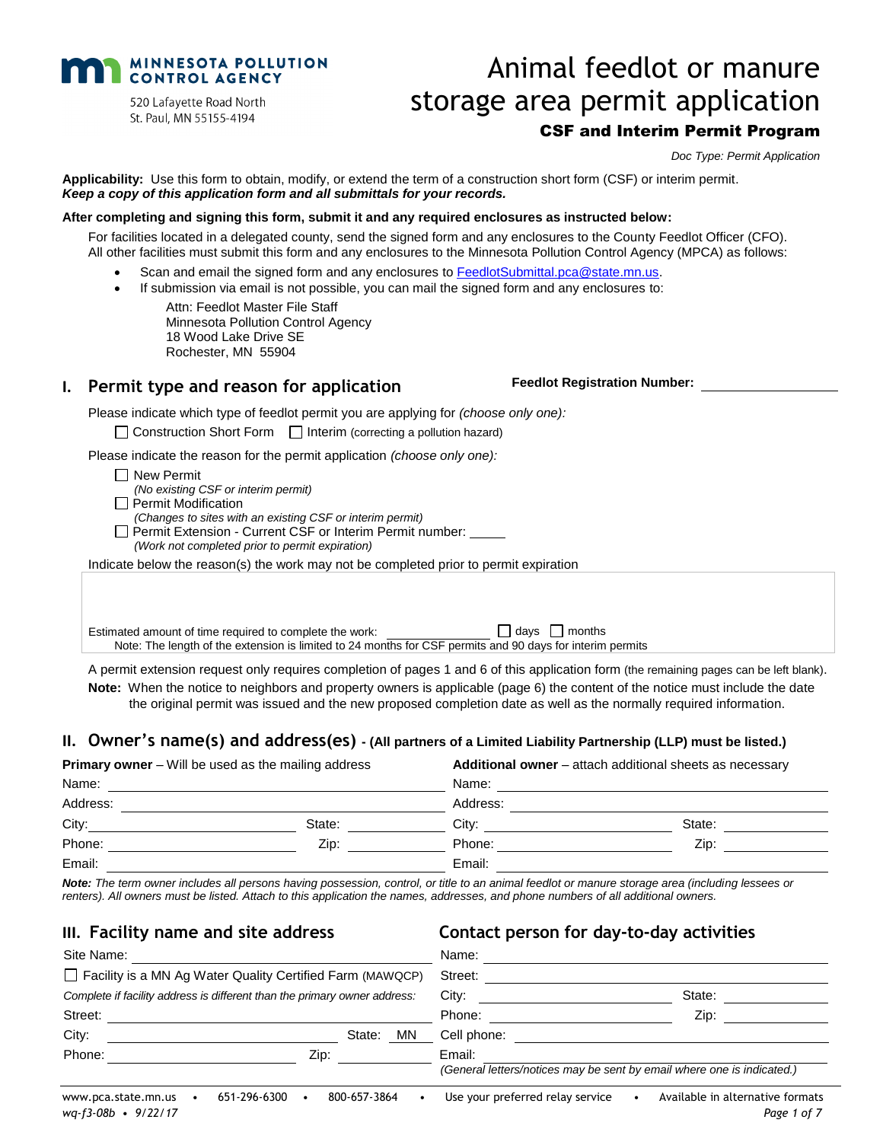

520 Lafayette Road North St. Paul, MN 55155-4194

# Animal feedlot or manure storage area permit application CSF and Interim Permit Program

*Doc Type: Permit Application*

**Applicability:** Use this form to obtain, modify, or extend the term of a construction short form (CSF) or interim permit. *Keep a copy of this application form and all submittals for your records.*

#### **After completing and signing this form, submit it and any required enclosures as instructed below:**

For facilities located in a delegated county, send the signed form and any enclosures to the County Feedlot Officer (CFO). All other facilities must submit this form and any enclosures to the Minnesota Pollution Control Agency (MPCA) as follows:

- Scan and email the signed form and any enclosures to [FeedlotSubmittal.pca@state.mn.us.](mailto:FeedlotSubmittal.pca@state.mn.us)
- If submission via email is not possible, you can mail the signed form and any enclosures to:

Attn: Feedlot Master File Staff Minnesota Pollution Control Agency 18 Wood Lake Drive SE Rochester, MN 55904

#### **I. Permit type and reason for application**

Please indicate which type of feedlot permit you are applying for *(choose only one):*

 $\Box$  Construction Short Form  $\Box$  Interim (correcting a pollution hazard)

Please indicate the reason for the permit application *(choose only one):*

- $\Box$  New Permit
- *(No existing CSF or interim permit)*
- $\Box$  Permit Modification
	- *(Changes to sites with an existing CSF or interim permit)*
	- Permit Extension Current CSF or Interim Permit number:
	- *(Work not completed prior to permit expiration)*

Indicate below the reason(s) the work may not be completed prior to permit expiration

Estimated amount of time required to complete the work:  $\Box$  days  $\Box$  months Note: The length of the extension is limited to 24 months for CSF permits and 90 days for interim permits

A permit extension request only requires completion of pages 1 and 6 of this application form (the remaining pages can be left blank).

**Note:** When the notice to neighbors and property owners is applicable (page 6) the content of the notice must include the date the original permit was issued and the new proposed completion date as well as the normally required information.

#### **II. Owner's name(s) and address(es) - (All partners of a Limited Liability Partnership (LLP) must be listed.)**

| <b>Primary owner</b> $-$ Will be used as the mailing address |        |          | Additional owner - attach additional sheets as necessary |  |  |  |
|--------------------------------------------------------------|--------|----------|----------------------------------------------------------|--|--|--|
| Name:                                                        |        | Name:    |                                                          |  |  |  |
| Address:                                                     |        | Address: |                                                          |  |  |  |
| City:                                                        | State: | City:    | State:                                                   |  |  |  |
| Phone:                                                       | Zip:   | Phone:   | Zip:                                                     |  |  |  |
| Email:                                                       |        | Email:   |                                                          |  |  |  |

*Note: The term owner includes all persons having possession, control, or title to an animal feedlot or manure storage area (including lessees or renters). All owners must be listed. Attach to this application the names, addresses, and phone numbers of all additional owners.*

#### **III. Facility name and site address Contact person for day-to-day activities**

| Site Name:                                   |                                                                           |              | Name:                            |                                                                        |
|----------------------------------------------|---------------------------------------------------------------------------|--------------|----------------------------------|------------------------------------------------------------------------|
|                                              | Facility is a MN Ag Water Quality Certified Farm (MAWQCP)                 |              | Street:                          |                                                                        |
|                                              | Complete if facility address is different than the primary owner address: |              | City:                            | State:                                                                 |
| Street:                                      |                                                                           |              | Phone:                           | Zip:                                                                   |
| City:                                        |                                                                           | ΜN<br>State: | Cell phone:                      |                                                                        |
| Phone:                                       | Zip:                                                                      |              | Email:                           |                                                                        |
|                                              |                                                                           |              |                                  | (General letters/notices may be sent by email where one is indicated.) |
| www.pca.state.mn.us<br>$wq-f3-08b - 9/22/17$ | 651-296-6300                                                              | 800-657-3864 | Use your preferred relay service | Available in alternative formats<br>Page 1 of 7                        |

**Feedlot Registration Number:**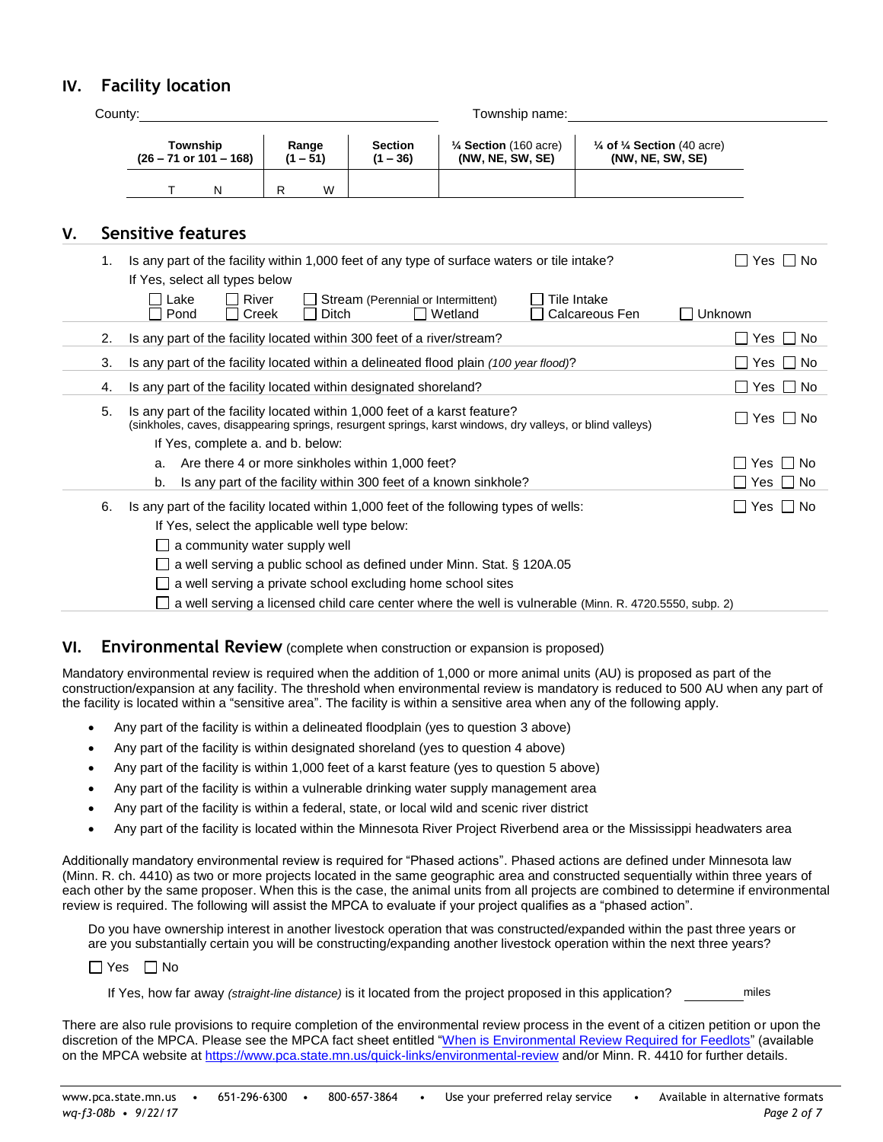# **IV. Facility location**

| Countv: |                                               |   | Township name:      |                              |                                                      |                                                                      |  |  |  |
|---------|-----------------------------------------------|---|---------------------|------------------------------|------------------------------------------------------|----------------------------------------------------------------------|--|--|--|
|         | Township<br>$(26 - 71 \text{ or } 101 - 168)$ |   | Range<br>$(1 - 51)$ | <b>Section</b><br>$(1 - 36)$ | $\frac{1}{4}$ Section (160 acre)<br>(NW, NE, SW, SE) | $\frac{1}{4}$ of $\frac{1}{4}$ Section (40 acre)<br>(NW, NE, SW, SE) |  |  |  |
|         | N                                             | R | W                   |                              |                                                      |                                                                      |  |  |  |

# **V. Sensitive features**

| 1. | Is any part of the facility within 1,000 feet of any type of surface waters or tile intake?                                                                                                                    | ⊟ No<br>Yes          |  |  |  |
|----|----------------------------------------------------------------------------------------------------------------------------------------------------------------------------------------------------------------|----------------------|--|--|--|
|    | If Yes, select all types below                                                                                                                                                                                 |                      |  |  |  |
|    | Lake<br>River<br>Stream (Perennial or Intermittent)<br>Tile Intake<br>$\mathbf{I}$<br>l I Wetland<br>Calcareous Fen<br>Pond<br>Creek<br>Ditch                                                                  | Unknown              |  |  |  |
| 2. | Is any part of the facility located within 300 feet of a river/stream?                                                                                                                                         | $\Box$ Yes $\Box$ No |  |  |  |
| 3. | Is any part of the facility located within a delineated flood plain (100 year flood)?                                                                                                                          | $\Box$ Yes $\Box$ No |  |  |  |
| 4. | Is any part of the facility located within designated shoreland?                                                                                                                                               | $\Box$ Yes $\Box$ No |  |  |  |
| 5. | Is any part of the facility located within 1,000 feet of a karst feature?<br>$\Box$ Yes $\Box$ No<br>(sinkholes, caves, disappearing springs, resurgent springs, karst windows, dry valleys, or blind valleys) |                      |  |  |  |
|    | If Yes, complete a. and b. below:                                                                                                                                                                              |                      |  |  |  |
|    | Are there 4 or more sinkholes within 1,000 feet?<br>а.                                                                                                                                                         | $\Box$ Yes $\Box$ No |  |  |  |
|    | Is any part of the facility within 300 feet of a known sinkhole?<br>b.                                                                                                                                         | $\Box$ Yes $\Box$ No |  |  |  |
| 6. | Is any part of the facility located within 1,000 feet of the following types of wells:                                                                                                                         | $\Box$ Yes $\Box$ No |  |  |  |
|    | If Yes, select the applicable well type below:                                                                                                                                                                 |                      |  |  |  |
|    | $\Box$ a community water supply well                                                                                                                                                                           |                      |  |  |  |
|    | a well serving a public school as defined under Minn. Stat. § 120A.05                                                                                                                                          |                      |  |  |  |
|    | a well serving a private school excluding home school sites                                                                                                                                                    |                      |  |  |  |
|    | $\Box$ a well serving a licensed child care center where the well is vulnerable (Minn. R. 4720.5550, subp. 2)                                                                                                  |                      |  |  |  |

### **VI. Environmental Review** (complete when construction or expansion is proposed)

Mandatory environmental review is required when the addition of 1,000 or more animal units (AU) is proposed as part of the construction/expansion at any facility. The threshold when environmental review is mandatory is reduced to 500 AU when any part of the facility is located within a "sensitive area". The facility is within a sensitive area when any of the following apply.

- Any part of the facility is within a delineated floodplain (yes to question 3 above)
- Any part of the facility is within designated shoreland (yes to question 4 above)
- Any part of the facility is within 1,000 feet of a karst feature (yes to question 5 above)
- Any part of the facility is within a vulnerable drinking water supply management area
- Any part of the facility is within a federal, state, or local wild and scenic river district
- Any part of the facility is located within the Minnesota River Project Riverbend area or the Mississippi headwaters area

Additionally mandatory environmental review is required for "Phased actions". Phased actions are defined under Minnesota law (Minn. R. ch. 4410) as two or more projects located in the same geographic area and constructed sequentially within three years of each other by the same proposer. When this is the case, the animal units from all projects are combined to determine if environmental review is required. The following will assist the MPCA to evaluate if your project qualifies as a "phased action".

Do you have ownership interest in another livestock operation that was constructed/expanded within the past three years or are you substantially certain you will be constructing/expanding another livestock operation within the next three years?

 $\Box$  Yes  $\Box$  No

If Yes, how far away *(straight-line distance)* is it located from the project proposed in this application? miles

There are also rule provisions to require completion of the environmental review process in the event of a citizen petition or upon the discretion of the MPCA. Please see the MPCA fact sheet entitled ["When is Environmental Review Required for Feedlots"](http://www.pca.state.mn.us/publications/wq-f1-10.pdf) (available on the MPCA website at <https://www.pca.state.mn.us/quick-links/environmental-review> and/or Minn. R. 4410 for further details.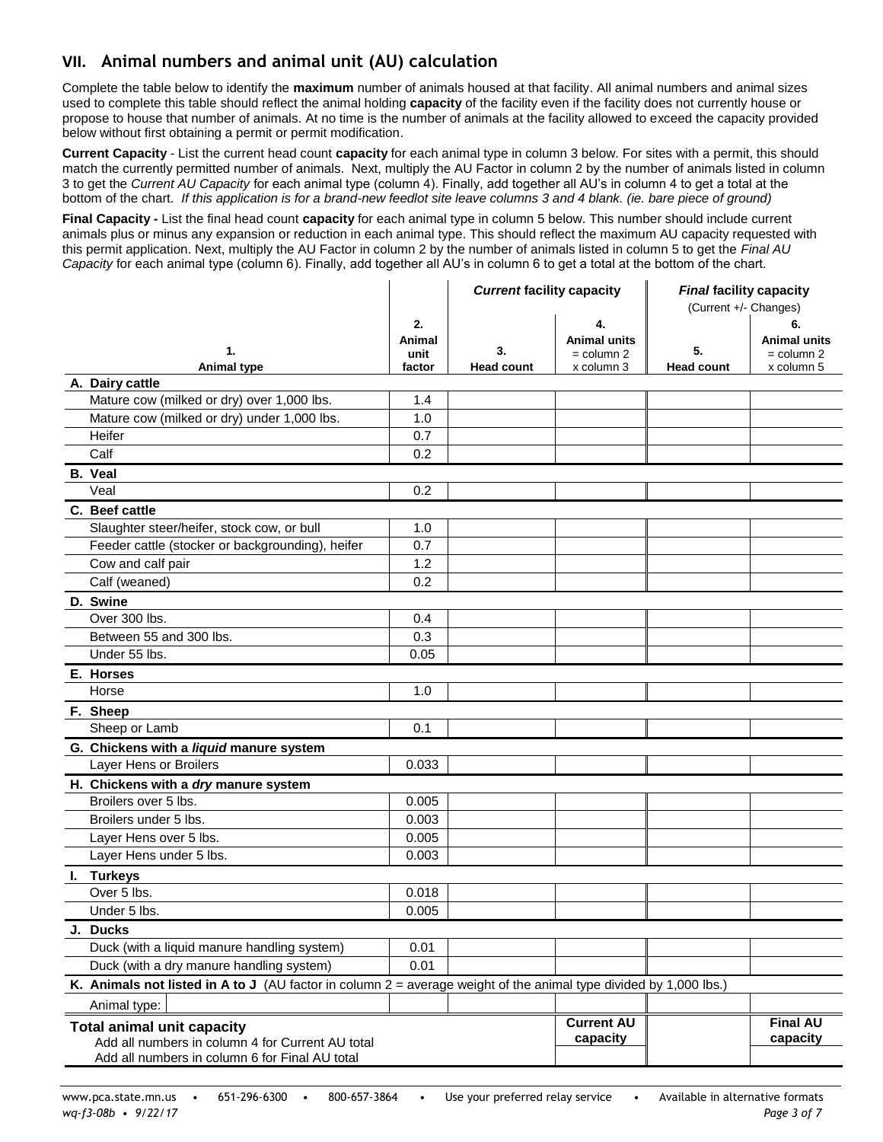# **VII. Animal numbers and animal unit (AU) calculation**

Complete the table below to identify the **maximum** number of animals housed at that facility. All animal numbers and animal sizes used to complete this table should reflect the animal holding **capacity** of the facility even if the facility does not currently house or propose to house that number of animals. At no time is the number of animals at the facility allowed to exceed the capacity provided below without first obtaining a permit or permit modification.

**Current Capacity** *-* List the current head count **capacity** for each animal type in column 3 below. For sites with a permit, this should match the currently permitted number of animals. Next, multiply the AU Factor in column 2 by the number of animals listed in column 3 to get the *Current AU Capacity* for each animal type (column 4). Finally, add together all AU's in column 4 to get a total at the bottom of the chart. *If this application is for a brand-new feedlot site leave columns 3 and 4 blank. (ie. bare piece of ground)*

**Final Capacity -** List the final head count **capacity** for each animal type in column 5 below. This number should include current animals plus or minus any expansion or reduction in each animal type. This should reflect the maximum AU capacity requested with this permit application. Next, multiply the AU Factor in column 2 by the number of animals listed in column 5 to get the *Final AU Capacity* for each animal type (column 6). Finally, add together all AU's in column 6 to get a total at the bottom of the chart.

|                                                                                                                     |        | <b>Current facility capacity</b> |                     | <b>Final facility capacity</b><br>(Current +/- Changes) |                     |  |
|---------------------------------------------------------------------------------------------------------------------|--------|----------------------------------|---------------------|---------------------------------------------------------|---------------------|--|
|                                                                                                                     | 2.     |                                  | 4.                  |                                                         | 6.                  |  |
|                                                                                                                     | Animal |                                  | <b>Animal units</b> |                                                         | <b>Animal units</b> |  |
| 1.                                                                                                                  | unit   | 3.                               | = column 2          | 5.                                                      | $=$ column 2        |  |
| <b>Animal type</b><br>A. Dairy cattle                                                                               | factor | <b>Head count</b>                | x column 3          | <b>Head count</b>                                       | x column 5          |  |
| Mature cow (milked or dry) over 1,000 lbs.                                                                          | 1.4    |                                  |                     |                                                         |                     |  |
| Mature cow (milked or dry) under 1,000 lbs.                                                                         | 1.0    |                                  |                     |                                                         |                     |  |
| Heifer                                                                                                              | 0.7    |                                  |                     |                                                         |                     |  |
| Calf                                                                                                                | 0.2    |                                  |                     |                                                         |                     |  |
| <b>B.</b> Veal                                                                                                      |        |                                  |                     |                                                         |                     |  |
| Veal                                                                                                                | 0.2    |                                  |                     |                                                         |                     |  |
| C. Beef cattle                                                                                                      |        |                                  |                     |                                                         |                     |  |
| Slaughter steer/heifer, stock cow, or bull                                                                          | 1.0    |                                  |                     |                                                         |                     |  |
| Feeder cattle (stocker or backgrounding), heifer                                                                    | 0.7    |                                  |                     |                                                         |                     |  |
| Cow and calf pair                                                                                                   | 1.2    |                                  |                     |                                                         |                     |  |
| Calf (weaned)                                                                                                       | 0.2    |                                  |                     |                                                         |                     |  |
| D. Swine                                                                                                            |        |                                  |                     |                                                         |                     |  |
| Over 300 lbs.                                                                                                       | 0.4    |                                  |                     |                                                         |                     |  |
| Between 55 and 300 lbs.                                                                                             | 0.3    |                                  |                     |                                                         |                     |  |
| Under 55 lbs.                                                                                                       | 0.05   |                                  |                     |                                                         |                     |  |
| E. Horses                                                                                                           |        |                                  |                     |                                                         |                     |  |
| Horse                                                                                                               | 1.0    |                                  |                     |                                                         |                     |  |
| F. Sheep                                                                                                            |        |                                  |                     |                                                         |                     |  |
| Sheep or Lamb                                                                                                       | 0.1    |                                  |                     |                                                         |                     |  |
| G. Chickens with a liquid manure system                                                                             |        |                                  |                     |                                                         |                     |  |
| Layer Hens or Broilers                                                                                              | 0.033  |                                  |                     |                                                         |                     |  |
| H. Chickens with a dry manure system                                                                                |        |                                  |                     |                                                         |                     |  |
| Broilers over 5 lbs.                                                                                                | 0.005  |                                  |                     |                                                         |                     |  |
| Broilers under 5 lbs.                                                                                               | 0.003  |                                  |                     |                                                         |                     |  |
| Layer Hens over 5 lbs.                                                                                              | 0.005  |                                  |                     |                                                         |                     |  |
| Layer Hens under 5 lbs.                                                                                             | 0.003  |                                  |                     |                                                         |                     |  |
| I. Turkeys                                                                                                          |        |                                  |                     |                                                         |                     |  |
| Over 5 lbs.                                                                                                         | 0.018  |                                  |                     |                                                         |                     |  |
| Under 5 lbs.                                                                                                        | 0.005  |                                  |                     |                                                         |                     |  |
| J. Ducks                                                                                                            |        |                                  |                     |                                                         |                     |  |
| Duck (with a liquid manure handling system)                                                                         | 0.01   |                                  |                     |                                                         |                     |  |
| Duck (with a dry manure handling system)                                                                            | 0.01   |                                  |                     |                                                         |                     |  |
| K. Animals not listed in A to J (AU factor in column $2$ = average weight of the animal type divided by 1,000 lbs.) |        |                                  |                     |                                                         |                     |  |
| Animal type:                                                                                                        |        |                                  |                     |                                                         |                     |  |
| <b>Total animal unit capacity</b>                                                                                   |        |                                  | <b>Current AU</b>   |                                                         | <b>Final AU</b>     |  |
| Add all numbers in column 4 for Current AU total                                                                    |        |                                  | capacity            |                                                         | capacity            |  |
| Add all numbers in column 6 for Final AU total                                                                      |        |                                  |                     |                                                         |                     |  |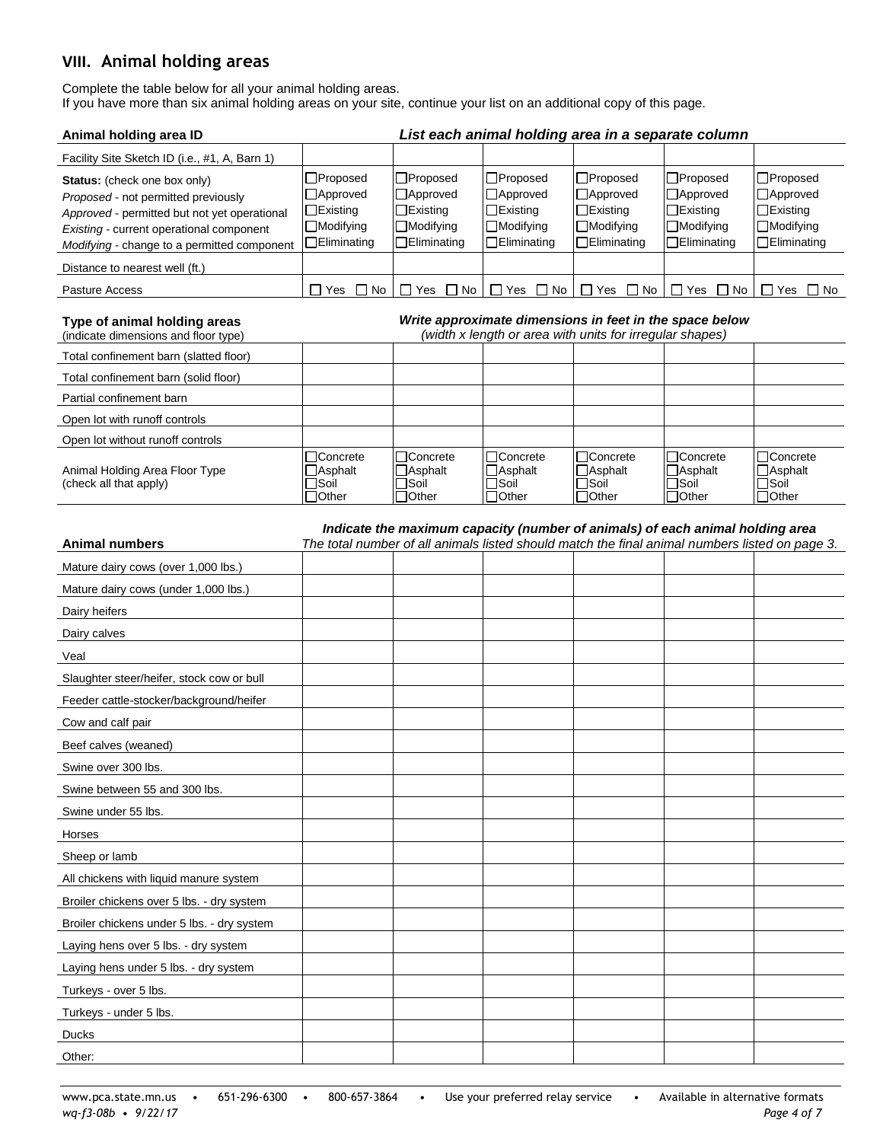# **VIII. Animal holding areas**

Complete the table below for all your animal holding areas. If you have more than six animal holding areas on your site, continue your list on an additional copy of this page.

| Animal holding area ID                                                                                                                                                                                         |                                                                                     |                                                                                              | List each animal holding area in a separate column                                                                  |                                                                               |                                                                                                                                                                                 |                                                                               |
|----------------------------------------------------------------------------------------------------------------------------------------------------------------------------------------------------------------|-------------------------------------------------------------------------------------|----------------------------------------------------------------------------------------------|---------------------------------------------------------------------------------------------------------------------|-------------------------------------------------------------------------------|---------------------------------------------------------------------------------------------------------------------------------------------------------------------------------|-------------------------------------------------------------------------------|
| Facility Site Sketch ID (i.e., #1, A, Barn 1)                                                                                                                                                                  |                                                                                     |                                                                                              |                                                                                                                     |                                                                               |                                                                                                                                                                                 |                                                                               |
| Status: (check one box only)<br>Proposed - not permitted previously<br>Approved - permitted but not yet operational<br>Existing - current operational component<br>Modifying - change to a permitted component | $\Box$ Proposed<br>□Approved<br>$\Box$ Existing<br>□Modifying<br>$\Box$ Eliminating | $\square$ Proposed<br>□Approved<br>$\Box$ Existing<br>$\Box$ Modifying<br>$\Box$ Eliminating | □Proposed<br>□Approved<br>$\Box$ Existing<br>□Modifying<br>$\Box$ Eliminating                                       | □Proposed<br>□Approved<br>$\Box$ Existing<br>□Modifying<br>$\Box$ Eliminating | $\Box$ Proposed<br>□Approved<br>$\Box$ Existing<br>□Modifying<br>$\Box$ Eliminating                                                                                             | □Proposed<br>□Approved<br>$\Box$ Existing<br>□Modifying<br>$\Box$ Eliminating |
| Distance to nearest well (ft.)                                                                                                                                                                                 |                                                                                     |                                                                                              |                                                                                                                     |                                                                               |                                                                                                                                                                                 |                                                                               |
| Pasture Access                                                                                                                                                                                                 | □ Yes □ No                                                                          |                                                                                              | $\Box$ Yes $\Box$ No $\Box$ Yes $\Box$ No                                                                           | $\Box$ Yes $\Box$ No                                                          | $\Box$ Yes $\Box$ No                                                                                                                                                            | $\Box$ Yes $\Box$ No                                                          |
| Type of animal holding areas<br>(indicate dimensions and floor type)                                                                                                                                           |                                                                                     |                                                                                              | Write approximate dimensions in feet in the space below<br>(width x length or area with units for irregular shapes) |                                                                               |                                                                                                                                                                                 |                                                                               |
| Total confinement barn (slatted floor)                                                                                                                                                                         |                                                                                     |                                                                                              |                                                                                                                     |                                                                               |                                                                                                                                                                                 |                                                                               |
| Total confinement barn (solid floor)                                                                                                                                                                           |                                                                                     |                                                                                              |                                                                                                                     |                                                                               |                                                                                                                                                                                 |                                                                               |
| Partial confinement barn                                                                                                                                                                                       |                                                                                     |                                                                                              |                                                                                                                     |                                                                               |                                                                                                                                                                                 |                                                                               |
| Open lot with runoff controls                                                                                                                                                                                  |                                                                                     |                                                                                              |                                                                                                                     |                                                                               |                                                                                                                                                                                 |                                                                               |
| Open lot without runoff controls                                                                                                                                                                               |                                                                                     |                                                                                              |                                                                                                                     |                                                                               |                                                                                                                                                                                 |                                                                               |
| Animal Holding Area Floor Type<br>(check all that apply)                                                                                                                                                       | □Concrete<br>$\Box$ Asphalt<br>$\square$ Soil<br>□Other                             | □Concrete<br>$\Box$ Asphalt<br>$\Box$ Soil<br>$\Box$ Other                                   | □Concrete<br>$\Box$ Asphalt<br>$\square$ Soil<br>$\Box$ Other                                                       | □Concrete<br>□Asphalt<br>$\Box$ Soil<br>$\Box$ Other                          | □Concrete<br>$\Box$ Asphalt<br><b>Soil</b><br>$\Box$ Other                                                                                                                      | □Concrete<br>$\Box$ Asphalt<br>$\square$ Soil<br>$\Box$ Other                 |
| <b>Animal numbers</b>                                                                                                                                                                                          |                                                                                     |                                                                                              |                                                                                                                     |                                                                               | Indicate the maximum capacity (number of animals) of each animal holding area<br>The total number of all animals listed should match the final animal numbers listed on page 3. |                                                                               |
|                                                                                                                                                                                                                |                                                                                     |                                                                                              |                                                                                                                     |                                                                               |                                                                                                                                                                                 |                                                                               |
| Mature dairy cows (over 1,000 lbs.)                                                                                                                                                                            |                                                                                     |                                                                                              |                                                                                                                     |                                                                               |                                                                                                                                                                                 |                                                                               |
| Mature dairy cows (under 1,000 lbs.)                                                                                                                                                                           |                                                                                     |                                                                                              |                                                                                                                     |                                                                               |                                                                                                                                                                                 |                                                                               |
| Dairy heifers                                                                                                                                                                                                  |                                                                                     |                                                                                              |                                                                                                                     |                                                                               |                                                                                                                                                                                 |                                                                               |
| Dairy calves                                                                                                                                                                                                   |                                                                                     |                                                                                              |                                                                                                                     |                                                                               |                                                                                                                                                                                 |                                                                               |
| Veal                                                                                                                                                                                                           |                                                                                     |                                                                                              |                                                                                                                     |                                                                               |                                                                                                                                                                                 |                                                                               |
| Slaughter steer/heifer, stock cow or bull                                                                                                                                                                      |                                                                                     |                                                                                              |                                                                                                                     |                                                                               |                                                                                                                                                                                 |                                                                               |
| Feeder cattle-stocker/background/heifer                                                                                                                                                                        |                                                                                     |                                                                                              |                                                                                                                     |                                                                               |                                                                                                                                                                                 |                                                                               |
| Cow and calf pair                                                                                                                                                                                              |                                                                                     |                                                                                              |                                                                                                                     |                                                                               |                                                                                                                                                                                 |                                                                               |
| Beef calves (weaned)                                                                                                                                                                                           |                                                                                     |                                                                                              |                                                                                                                     |                                                                               |                                                                                                                                                                                 |                                                                               |
| Swine over 300 lbs.                                                                                                                                                                                            |                                                                                     |                                                                                              |                                                                                                                     |                                                                               |                                                                                                                                                                                 |                                                                               |
| Swine between 55 and 300 lbs.                                                                                                                                                                                  |                                                                                     |                                                                                              |                                                                                                                     |                                                                               |                                                                                                                                                                                 |                                                                               |
| Swine under 55 lbs.                                                                                                                                                                                            |                                                                                     |                                                                                              |                                                                                                                     |                                                                               |                                                                                                                                                                                 |                                                                               |
| Horses                                                                                                                                                                                                         |                                                                                     |                                                                                              |                                                                                                                     |                                                                               |                                                                                                                                                                                 |                                                                               |
| Sheep or lamb                                                                                                                                                                                                  |                                                                                     |                                                                                              |                                                                                                                     |                                                                               |                                                                                                                                                                                 |                                                                               |
| All chickens with liquid manure system                                                                                                                                                                         |                                                                                     |                                                                                              |                                                                                                                     |                                                                               |                                                                                                                                                                                 |                                                                               |
| Broiler chickens over 5 lbs. - dry system                                                                                                                                                                      |                                                                                     |                                                                                              |                                                                                                                     |                                                                               |                                                                                                                                                                                 |                                                                               |
| Broiler chickens under 5 lbs. - dry system                                                                                                                                                                     |                                                                                     |                                                                                              |                                                                                                                     |                                                                               |                                                                                                                                                                                 |                                                                               |
| Laying hens over 5 lbs. - dry system                                                                                                                                                                           |                                                                                     |                                                                                              |                                                                                                                     |                                                                               |                                                                                                                                                                                 |                                                                               |
| Laying hens under 5 lbs. - dry system                                                                                                                                                                          |                                                                                     |                                                                                              |                                                                                                                     |                                                                               |                                                                                                                                                                                 |                                                                               |
| Turkeys - over 5 lbs.                                                                                                                                                                                          |                                                                                     |                                                                                              |                                                                                                                     |                                                                               |                                                                                                                                                                                 |                                                                               |
| Turkeys - under 5 lbs.                                                                                                                                                                                         |                                                                                     |                                                                                              |                                                                                                                     |                                                                               |                                                                                                                                                                                 |                                                                               |
| <b>Ducks</b>                                                                                                                                                                                                   |                                                                                     |                                                                                              |                                                                                                                     |                                                                               |                                                                                                                                                                                 |                                                                               |
| Other:                                                                                                                                                                                                         |                                                                                     |                                                                                              |                                                                                                                     |                                                                               |                                                                                                                                                                                 |                                                                               |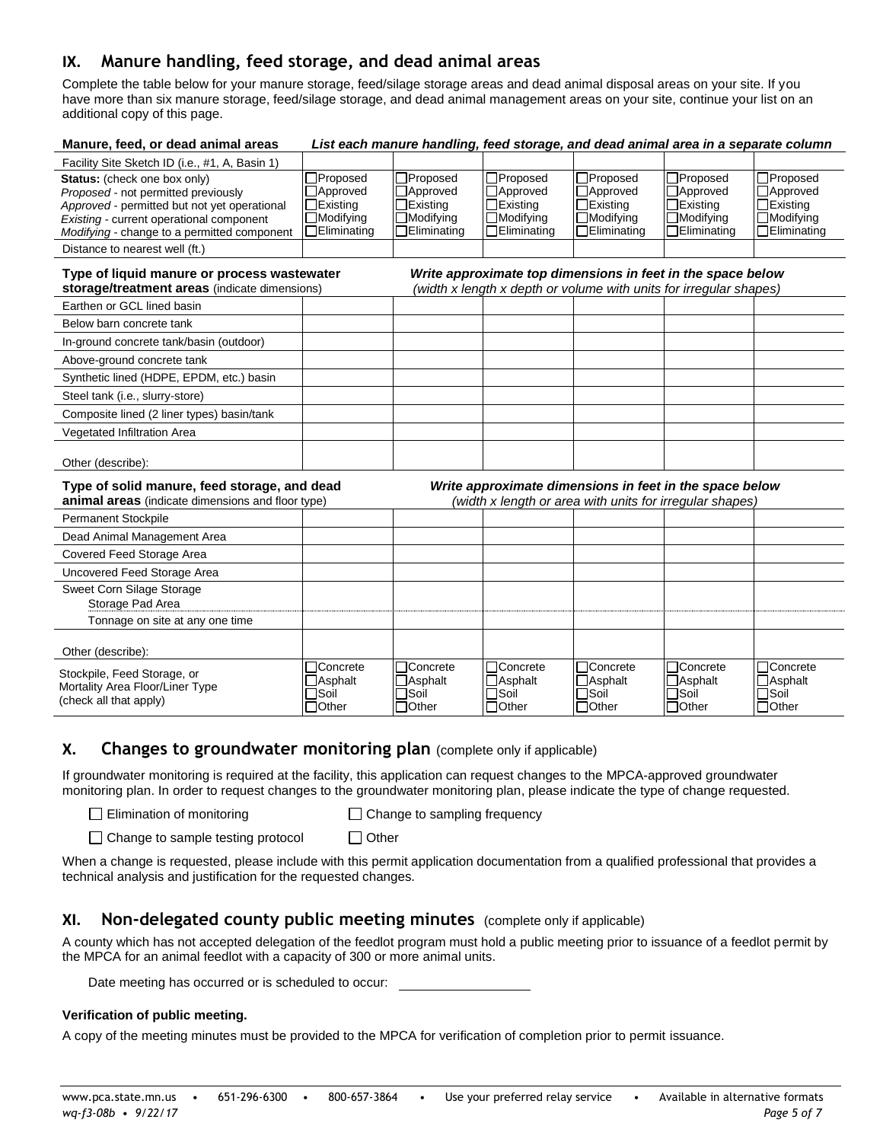# **IX. Manure handling, feed storage, and dead animal areas**

Complete the table below for your manure storage, feed/silage storage areas and dead animal disposal areas on your site. If you have more than six manure storage, feed/silage storage, and dead animal management areas on your site, continue your list on an additional copy of this page.

| Manure, feed, or dead animal areas                                                                                                                                                                             |                                                                                     | List each manure handling, feed storage, and dead animal area in a separate column                 |                                                                                     |                                                                                                                                   |                                                                               |                                                                                     |
|----------------------------------------------------------------------------------------------------------------------------------------------------------------------------------------------------------------|-------------------------------------------------------------------------------------|----------------------------------------------------------------------------------------------------|-------------------------------------------------------------------------------------|-----------------------------------------------------------------------------------------------------------------------------------|-------------------------------------------------------------------------------|-------------------------------------------------------------------------------------|
| Facility Site Sketch ID (i.e., #1, A, Basin 1)                                                                                                                                                                 |                                                                                     |                                                                                                    |                                                                                     |                                                                                                                                   |                                                                               |                                                                                     |
| Status: (check one box only)<br>Proposed - not permitted previously<br>Approved - permitted but not yet operational<br>Existing - current operational component<br>Modifying - change to a permitted component | $\Box$ Proposed<br>□Approved<br>$\Box$ Existing<br>□Modifying<br>$\Box$ Eliminating | $\square$ Proposed<br>$\Box$ Approved<br>$\Box$ Existing<br>$\Box$ Modifying<br>$\Box$ Eliminating | □Proposed<br>□Approved<br>$\Box$ Existing<br>$\Box$ Modifying<br>$\Box$ Eliminating | □Proposed<br>□Approved<br>$\Box$ Existing<br>$\Box$ Modifying<br>$\Box$ Eliminating                                               | □Proposed<br>□Approved<br>□Existing<br>$\Box$ Modifying<br>$\Box$ Eliminating | □Proposed<br>□Approved<br>$\Box$ Existing<br>$\Box$ Modifying<br>$\Box$ Eliminating |
| Distance to nearest well (ft.)                                                                                                                                                                                 |                                                                                     |                                                                                                    |                                                                                     |                                                                                                                                   |                                                                               |                                                                                     |
| Type of liquid manure or process wastewater<br>storage/treatment areas (indicate dimensions)                                                                                                                   |                                                                                     |                                                                                                    |                                                                                     | Write approximate top dimensions in feet in the space below<br>(width x length x depth or volume with units for irregular shapes) |                                                                               |                                                                                     |
| Earthen or GCL lined basin                                                                                                                                                                                     |                                                                                     |                                                                                                    |                                                                                     |                                                                                                                                   |                                                                               |                                                                                     |
| Below barn concrete tank                                                                                                                                                                                       |                                                                                     |                                                                                                    |                                                                                     |                                                                                                                                   |                                                                               |                                                                                     |
| In-ground concrete tank/basin (outdoor)                                                                                                                                                                        |                                                                                     |                                                                                                    |                                                                                     |                                                                                                                                   |                                                                               |                                                                                     |
| Above-ground concrete tank                                                                                                                                                                                     |                                                                                     |                                                                                                    |                                                                                     |                                                                                                                                   |                                                                               |                                                                                     |
| Synthetic lined (HDPE, EPDM, etc.) basin                                                                                                                                                                       |                                                                                     |                                                                                                    |                                                                                     |                                                                                                                                   |                                                                               |                                                                                     |
| Steel tank (i.e., slurry-store)                                                                                                                                                                                |                                                                                     |                                                                                                    |                                                                                     |                                                                                                                                   |                                                                               |                                                                                     |
| Composite lined (2 liner types) basin/tank                                                                                                                                                                     |                                                                                     |                                                                                                    |                                                                                     |                                                                                                                                   |                                                                               |                                                                                     |
| Vegetated Infiltration Area                                                                                                                                                                                    |                                                                                     |                                                                                                    |                                                                                     |                                                                                                                                   |                                                                               |                                                                                     |
| Other (describe):                                                                                                                                                                                              |                                                                                     |                                                                                                    |                                                                                     |                                                                                                                                   |                                                                               |                                                                                     |
| Type of solid manure, feed storage, and dead<br><b>animal areas</b> (indicate dimensions and floor type)                                                                                                       |                                                                                     |                                                                                                    |                                                                                     | Write approximate dimensions in feet in the space below<br>(width x length or area with units for irregular shapes)               |                                                                               |                                                                                     |
| Permanent Stockpile                                                                                                                                                                                            |                                                                                     |                                                                                                    |                                                                                     |                                                                                                                                   |                                                                               |                                                                                     |
| Dead Animal Management Area                                                                                                                                                                                    |                                                                                     |                                                                                                    |                                                                                     |                                                                                                                                   |                                                                               |                                                                                     |
| Covered Feed Storage Area                                                                                                                                                                                      |                                                                                     |                                                                                                    |                                                                                     |                                                                                                                                   |                                                                               |                                                                                     |
| Uncovered Feed Storage Area                                                                                                                                                                                    |                                                                                     |                                                                                                    |                                                                                     |                                                                                                                                   |                                                                               |                                                                                     |
| Sweet Corn Silage Storage<br>Storage Pad Area                                                                                                                                                                  |                                                                                     |                                                                                                    |                                                                                     |                                                                                                                                   |                                                                               |                                                                                     |
| Tonnage on site at any one time                                                                                                                                                                                |                                                                                     |                                                                                                    |                                                                                     |                                                                                                                                   |                                                                               |                                                                                     |
| Other (describe):                                                                                                                                                                                              |                                                                                     |                                                                                                    |                                                                                     |                                                                                                                                   |                                                                               |                                                                                     |
| Stockpile, Feed Storage, or<br>Mortality Area Floor/Liner Type<br>(check all that apply)                                                                                                                       | □Concrete<br>$\Box$ Asphalt<br>$\sqcap$ Soil<br>$\Box$ Other                        | □Concrete<br>$\Box$ Asphalt<br>$\Box$ Soil<br>$\Box$ Other                                         | □Concrete<br>$\Box$ Asphalt<br>$\sqcap$ Soil<br>$\Box$ Other                        | □Concrete<br>$\Box$ Asphalt<br>$\sqcap$ Soil<br>$\Box$ Other                                                                      | □Concrete<br>$\Box$ Asphalt<br>$\Box$ Soil<br>$\Box$ Other                    | □Concrete<br>$\Box$ Asphalt<br>$\square$ Soil<br>$\Box$ Other                       |

### **X. Changes to groundwater monitoring plan** (complete only if applicable)

If groundwater monitoring is required at the facility, this application can request changes to the MPCA-approved groundwater monitoring plan. In order to request changes to the groundwater monitoring plan, please indicate the type of change requested.

□ Elimination of monitoring □ ○ Change to sampling frequency

 $\Box$  Change to sample testing protocol  $\Box$  Other

When a change is requested, please include with this permit application documentation from a qualified professional that provides a technical analysis and justification for the requested changes.

# **XI. Non-delegated county public meeting minutes** (complete only if applicable)

A county which has not accepted delegation of the feedlot program must hold a public meeting prior to issuance of a feedlot permit by the MPCA for an animal feedlot with a capacity of 300 or more animal units.

Date meeting has occurred or is scheduled to occur:

#### **Verification of public meeting.**

A copy of the meeting minutes must be provided to the MPCA for verification of completion prior to permit issuance.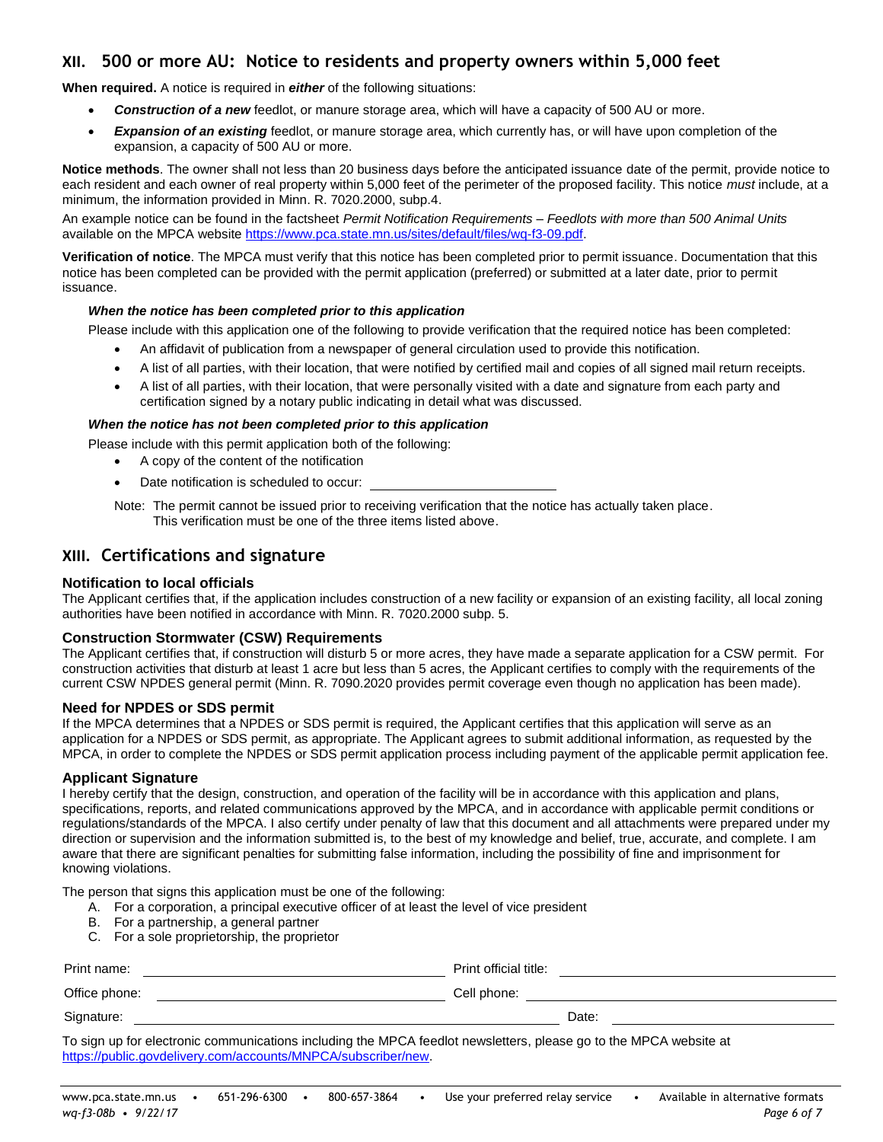# <span id="page-5-0"></span>**XII. 500 or more AU: Notice to residents and property owners within 5,000 feet**

**When required.** A notice is required in *either* of the following situations:

- *Construction of a new* feedlot, or manure storage area, which will have a capacity of 500 AU or more.
- *Expansion of an existing* feedlot, or manure storage area, which currently has, or will have upon completion of the expansion, a capacity of 500 AU or more.

**Notice methods**. The owner shall not less than 20 business days before the anticipated issuance date of the permit, provide notice to each resident and each owner of real property within 5,000 feet of the perimeter of the proposed facility. This notice *must* include, at a minimum, the information provided in Minn. R. 7020.2000, subp.4.

An example notice can be found in the factsheet *Permit Notification Requirements – Feedlots with more than 500 Animal Units* available on the MPCA website [https://www.pca.state.mn.us/sites/default/files/wq-f3-09.pdf.](https://www.pca.state.mn.us/sites/default/files/wq-f3-09.pdf)

**Verification of notice**. The MPCA must verify that this notice has been completed prior to permit issuance. Documentation that this notice has been completed can be provided with the permit application (preferred) or submitted at a later date, prior to permit issuance.

#### *When the notice has been completed prior to this application*

Please include with this application one of the following to provide verification that the required notice has been completed:

- An affidavit of publication from a newspaper of general circulation used to provide this notification.
- A list of all parties, with their location, that were notified by certified mail and copies of all signed mail return receipts.
- A list of all parties, with their location, that were personally visited with a date and signature from each party and certification signed by a notary public indicating in detail what was discussed.

#### *When the notice has not been completed prior to this application*

Please include with this permit application both of the following:

- A copy of the content of the notification
- Date notification is scheduled to occur:

Note: The permit cannot be issued prior to receiving verification that the notice has actually taken place. This verification must be one of the three items listed above.

## **XIII. Certifications and signature**

#### **Notification to local officials**

The Applicant certifies that, if the application includes construction of a new facility or expansion of an existing facility, all local zoning authorities have been notified in accordance with Minn. R. 7020.2000 subp. 5.

#### **Construction Stormwater (CSW) Requirements**

The Applicant certifies that, if construction will disturb 5 or more acres, they have made a separate application for a CSW permit. For construction activities that disturb at least 1 acre but less than 5 acres, the Applicant certifies to comply with the requirements of the current CSW NPDES general permit (Minn. R. 7090.2020 provides permit coverage even though no application has been made).

#### **Need for NPDES or SDS permit**

If the MPCA determines that a NPDES or SDS permit is required, the Applicant certifies that this application will serve as an application for a NPDES or SDS permit, as appropriate. The Applicant agrees to submit additional information, as requested by the MPCA, in order to complete the NPDES or SDS permit application process including payment of the applicable permit application fee.

#### **Applicant Signature**

I hereby certify that the design, construction, and operation of the facility will be in accordance with this application and plans, specifications, reports, and related communications approved by the MPCA, and in accordance with applicable permit conditions or regulations/standards of the MPCA. I also certify under penalty of law that this document and all attachments were prepared under my direction or supervision and the information submitted is, to the best of my knowledge and belief, true, accurate, and complete. I am aware that there are significant penalties for submitting false information, including the possibility of fine and imprisonment for knowing violations.

The person that signs this application must be one of the following:

- A. For a corporation, a principal executive officer of at least the level of vice president
- B. For a partnership, a general partner
- C. For a sole proprietorship, the proprietor

| Print name:   | Print official title: |
|---------------|-----------------------|
| Office phone: | Cell phone:           |
| Signature:    | Date:                 |

To sign up for electronic communications including the MPCA feedlot newsletters, please go to the MPCA website at [https://public.govdelivery.com/accounts/MNPCA/subscriber/new.](https://public.govdelivery.com/accounts/MNPCA/subscriber/new)